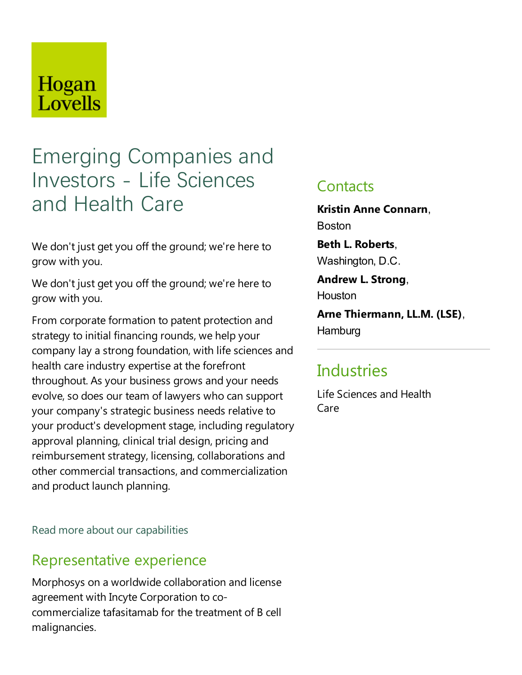## Hogan Lovells

# Emerging Companies and Investors - Life Sciences and Health Care

We don't just get you off the ground; we're here to grow with you.

We don't just get you off the ground; we're here to grow with you.

From corporate formation to patent protection and strategy to initial financing rounds, we help your company lay a strong foundation, with life sciences and health care industry expertise at the forefront throughout. As your business grows and your needs evolve, so does our team of lawyers who can support your company's strategic business needs relativeto your product's development stage, including regulatory approval planning, clinical trial design, pricing and reimbursement strategy, licensing, collaborations and other commercial transactions,and commercialization and product launch planning.

#### Read more about our capabilities

### Representative experience

Morphosys on a worldwide collaboration and license agreement with Incyte Corporation to cocommercialize tafasitamab for the treatment of B cell malignancies.

### **Contacts**

**Kristin Anne Connarn**, Boston

**Beth L. Roberts**, Washington, D.C.

**Andrew L. Strong**, Houston

**Arne Thiermann,LL.M. (LSE)**, **Hamburg** 

### **Industries**

Life Sciences and Health Care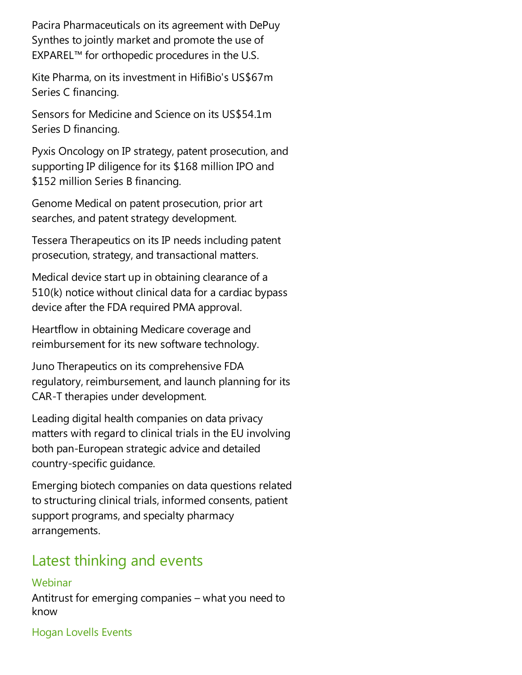Pacira Pharmaceuticals on its agreement with DePuy Synthes to jointly market and promote the use of EXPAREL™ for orthopedic procedures in the U.S.

Kite Pharma, on its investment in HifiBio's US\$67m Series C financing.

Sensors for Medicine and Science on its US\$54.1m Series D financing.

Pyxis Oncology on IP strategy, patent prosecution, and supporting IP diligence for its \$168 million IPO and \$152 million Series B financing.

Genome Medical on patent prosecution, prior art searches, and patent strategy development.

Tessera Therapeutics on its IP needs including patent prosecution, strategy,and transactional matters.

Medical device start up in obtaining clearance of a  $510(k)$  notice without clinical data for a cardiac bypass device after the FDA required PMA approval.

Heartflow in obtaining Medicare coverage and reimbursement for its new software technology.

Juno Therapeutics on its comprehensive FDA regulatory, reimbursement, and launch planning for its CAR-T therapies under development.

Leading digital health companies on data privacy matters with regard to clinical trials in the EU involving both pan-European strategic advice and detailed country-specific guidance.

Emerging biotech companies on data questions related to structuring clinical trials, informed consents, patient support programs, and specialty pharmacy arrangements.

### Latest thinking and events

#### Webinar

Antitrust for emerging companies  $-$  what you need to know

Hogan Lovells Events